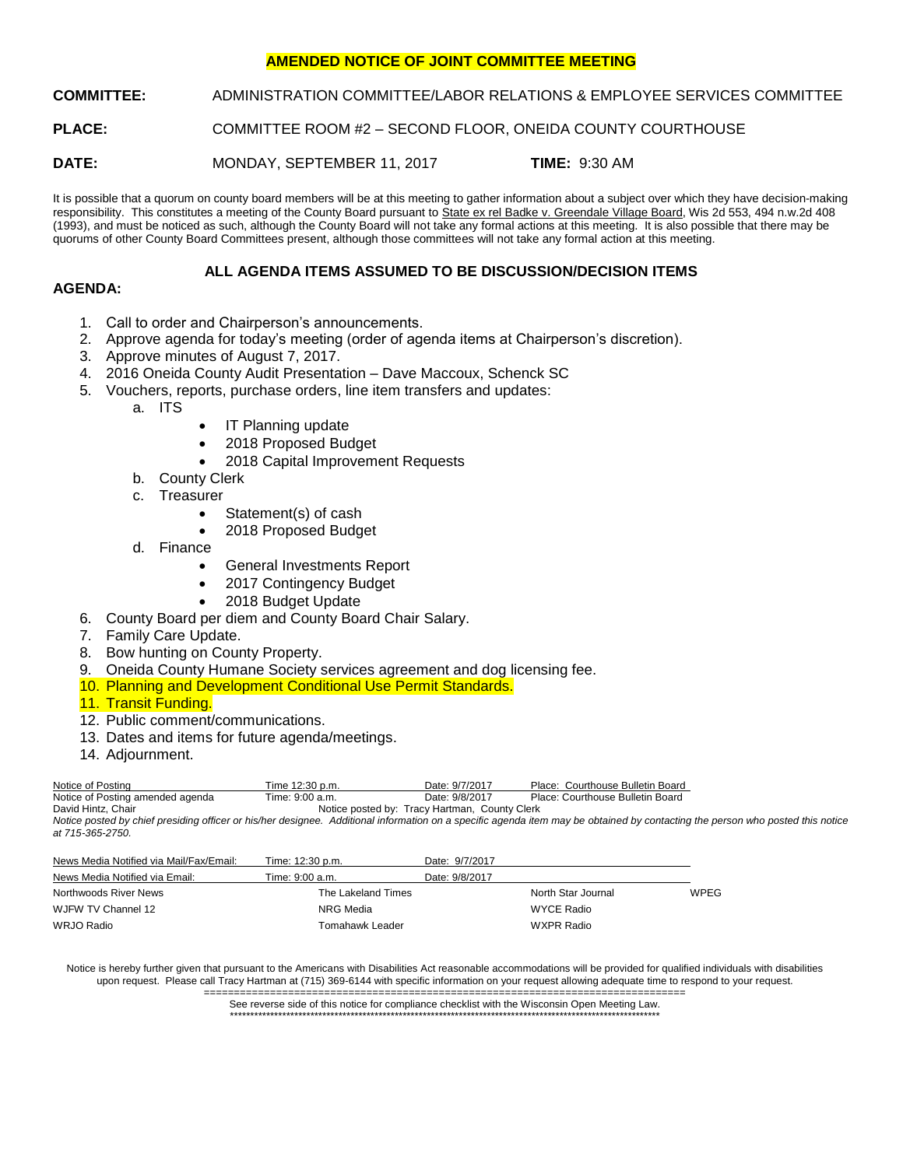# **AMENDED NOTICE OF JOINT COMMITTEE MEETING**

**COMMITTEE:** ADMINISTRATION COMMITTEE/LABOR RELATIONS & EMPLOYEE SERVICES COMMITTEE

**PLACE:** COMMITTEE ROOM #2 – SECOND FLOOR, ONEIDA COUNTY COURTHOUSE

**DATE:** MONDAY, SEPTEMBER 11, 2017 **TIME:** 9:30 AM

It is possible that a quorum on county board members will be at this meeting to gather information about a subject over which they have decision-making responsibility. This constitutes a meeting of the County Board pursuant to State ex rel Badke v. Greendale Village Board, Wis 2d 553, 494 n.w.2d 408 (1993), and must be noticed as such, although the County Board will not take any formal actions at this meeting. It is also possible that there may be quorums of other County Board Committees present, although those committees will not take any formal action at this meeting.

# **ALL AGENDA ITEMS ASSUMED TO BE DISCUSSION/DECISION ITEMS**

# **AGENDA:**

- 1. Call to order and Chairperson's announcements.
- 2. Approve agenda for today's meeting (order of agenda items at Chairperson's discretion).
- 3. Approve minutes of August 7, 2017.
- 4. 2016 Oneida County Audit Presentation Dave Maccoux, Schenck SC
- 5. Vouchers, reports, purchase orders, line item transfers and updates:
	- a. ITS
- IT Planning update
- 2018 Proposed Budget
- 2018 Capital Improvement Requests
- b. County Clerk
- c. Treasurer
	- Statement(s) of cash
	- 2018 Proposed Budget
- d. Finance
	- General Investments Report
	- 2017 Contingency Budget
	- 2018 Budget Update
- 6. County Board per diem and County Board Chair Salary.
- 7. Family Care Update.
- 8. Bow hunting on County Property.
- 9. Oneida County Humane Society services agreement and dog licensing fee.
- 10. Planning and Development Conditional Use Permit Standards.
- 11. Transit Funding.
- 12. Public comment/communications.
- 13. Dates and items for future agenda/meetings.
- 14. Adjournment.

| Notice of Posting                | Time 12:30 p.m. | Date: 9/7/2017                                | Place: Courthouse Bulletin Board                                                                                                                        |
|----------------------------------|-----------------|-----------------------------------------------|---------------------------------------------------------------------------------------------------------------------------------------------------------|
| Notice of Posting amended agenda | Time: 9:00 a.m. | Date: 9/8/2017                                | Place: Courthouse Bulletin Board                                                                                                                        |
| David Hintz, Chair               |                 | Notice posted by: Tracy Hartman, County Clerk |                                                                                                                                                         |
|                                  |                 |                                               | Notice posted by chief presiding officer or his/her designee. Additional information on a specific agenda item may be obtained by contacting the person |

*Notice posted by chief presiding officer or his/her designee. Additional information on a specific agenda item may be obtained by contacting the person who posted this notice at 715-365-2750.*

| News Media Notified via Mail/Fax/Email: | Time: 12:30 p.m.   | Date: 9/7/2017 |                    |             |
|-----------------------------------------|--------------------|----------------|--------------------|-------------|
| News Media Notified via Email:          | Time: 9:00 a.m.    | Date: 9/8/2017 |                    |             |
| Northwoods River News                   | The Lakeland Times |                | North Star Journal | <b>WPEG</b> |
| WJFW TV Channel 12                      | NRG Media          |                | WYCE Radio         |             |
| WRJO Radio                              | Tomahawk Leader    |                | WXPR Radio         |             |

Notice is hereby further given that pursuant to the Americans with Disabilities Act reasonable accommodations will be provided for qualified individuals with disabilities upon request. Please call Tracy Hartman at (715) 369-6144 with specific information on your request allowing adequate time to respond to your request.

================================================================================ See reverse side of this notice for compliance checklist with the Wisconsin Open Meeting Law. \*\*\*\*\*\*\*\*\*\*\*\*\*\*\*\*\*\*\*\*\*\*\*\*\*\*\*\*\*\*\*\*\*\*\*\*\*\*\*\*\*\*\*\*\*\*\*\*\*\*\*\*\*\*\*\*\*\*\*\*\*\*\*\*\*\*\*\*\*\*\*\*\*\*\*\*\*\*\*\*\*\*\*\*\*\*\*\*\*\*\*\*\*\*\*\*\*\*\*\*\*\*\*\*\*\*\*